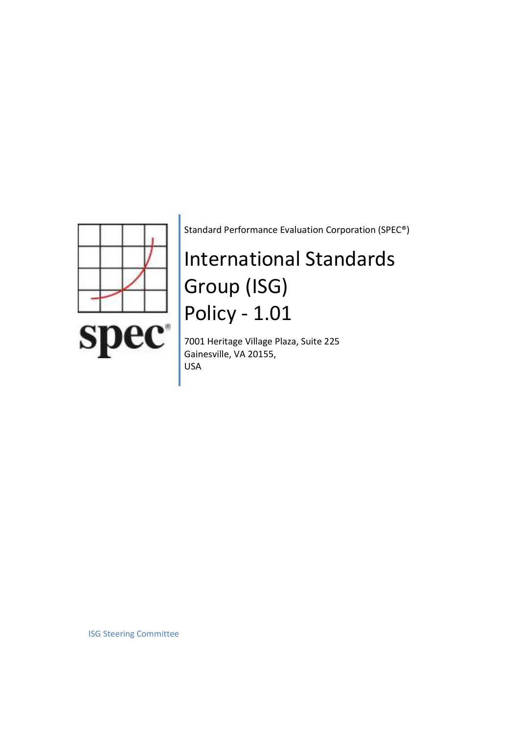

Standard Performance Evaluation Corporation (SPEC®)

# International Standards Group (ISG) Policy - 1.01

7001 Heritage Village Plaza, Suite 225 Gainesville, VA 20155, USA

ISG Steering Committee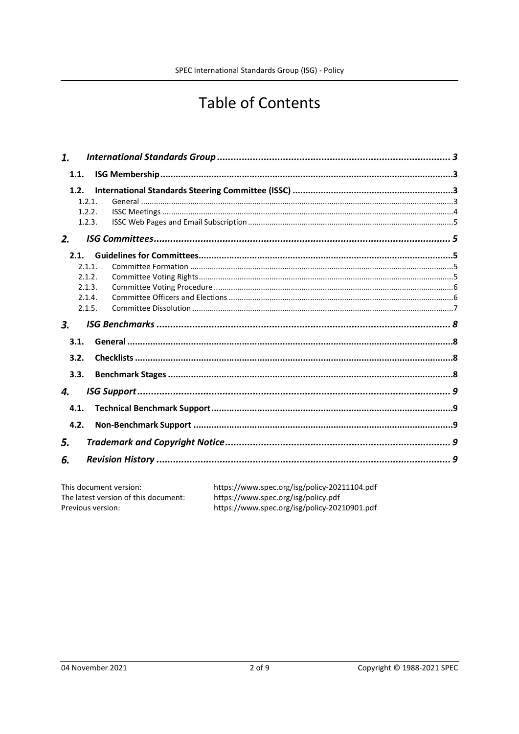## **Table of Contents**

| 1.   |        |  |
|------|--------|--|
| 1.1. |        |  |
| 1.2. |        |  |
|      | 1.2.1. |  |
|      | 1.2.2. |  |
|      | 1.2.3. |  |
| 2.   |        |  |
| 2.1. |        |  |
|      | 2.1.1. |  |
|      | 2.1.2. |  |
|      | 2.1.3. |  |
|      | 2.1.4. |  |
|      | 2.1.5. |  |
| 3.   |        |  |
| 3.1. |        |  |
| 3.2. |        |  |
| 3.3. |        |  |
|      |        |  |
| 4.   |        |  |
| 4.1. |        |  |
| 4.2. |        |  |
| 5.   |        |  |
| 6.   |        |  |
|      |        |  |

| This document version:               | https://www.spec.org/isg/policy-20211104.pdf |
|--------------------------------------|----------------------------------------------|
| The latest version of this document: | https://www.spec.org/isg/policy.pdf          |
| Previous version:                    | https://www.spec.org/isg/policy-20210901.pdf |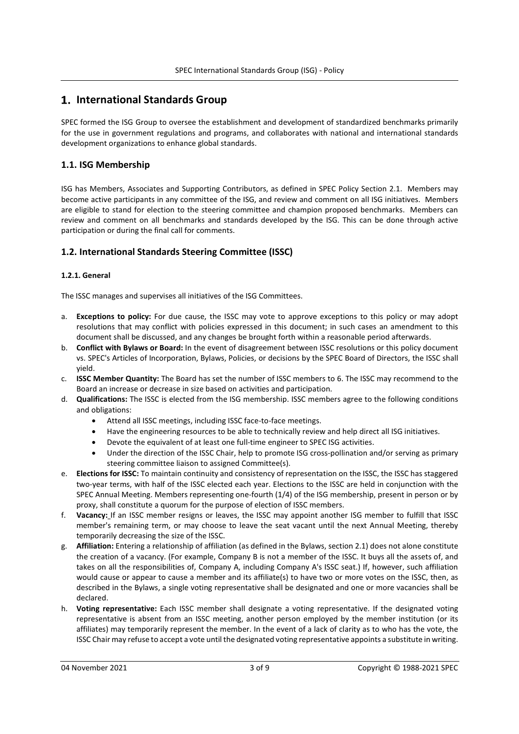## 1. International Standards Group

SPEC formed the ISG Group to oversee the establishment and development of standardized benchmarks primarily for the use in government regulations and programs, and collaborates with national and international standards development organizations to enhance global standards.

## 1.1. ISG Membership

ISG has Members, Associates and Supporting Contributors, as defined in SPEC Policy Section 2.1. Members may become active participants in any committee of the ISG, and review and comment on all ISG initiatives. Members are eligible to stand for election to the steering committee and champion proposed benchmarks. Members can review and comment on all benchmarks and standards developed by the ISG. This can be done through active participation or during the final call for comments.

## 1.2. International Standards Steering Committee (ISSC)

#### 1.2.1. General

The ISSC manages and supervises all initiatives of the ISG Committees.

- a. Exceptions to policy: For due cause, the ISSC may vote to approve exceptions to this policy or may adopt resolutions that may conflict with policies expressed in this document; in such cases an amendment to this document shall be discussed, and any changes be brought forth within a reasonable period afterwards.
- b. Conflict with Bylaws or Board: In the event of disagreement between ISSC resolutions or this policy document vs. SPEC's Articles of Incorporation, Bylaws, Policies, or decisions by the SPEC Board of Directors, the ISSC shall yield.
- c. ISSC Member Quantity: The Board has set the number of ISSC members to 6. The ISSC may recommend to the Board an increase or decrease in size based on activities and participation.
- d. Qualifications: The ISSC is elected from the ISG membership. ISSC members agree to the following conditions and obligations:
	- Attend all ISSC meetings, including ISSC face-to-face meetings.
	- Have the engineering resources to be able to technically review and help direct all ISG initiatives.
	- Devote the equivalent of at least one full-time engineer to SPEC ISG activities.
	- Under the direction of the ISSC Chair, help to promote ISG cross-pollination and/or serving as primary steering committee liaison to assigned Committee(s).
- e. Elections for ISSC: To maintain continuity and consistency of representation on the ISSC, the ISSC has staggered two-year terms, with half of the ISSC elected each year. Elections to the ISSC are held in conjunction with the SPEC Annual Meeting. Members representing one-fourth (1/4) of the ISG membership, present in person or by proxy, shall constitute a quorum for the purpose of election of ISSC members.
- f. Vacancy: If an ISSC member resigns or leaves, the ISSC may appoint another ISG member to fulfill that ISSC member's remaining term, or may choose to leave the seat vacant until the next Annual Meeting, thereby temporarily decreasing the size of the ISSC.
- g. Affiliation: Entering a relationship of affiliation (as defined in the Bylaws, section 2.1) does not alone constitute the creation of a vacancy. (For example, Company B is not a member of the ISSC. It buys all the assets of, and takes on all the responsibilities of, Company A, including Company A's ISSC seat.) If, however, such affiliation would cause or appear to cause a member and its affiliate(s) to have two or more votes on the ISSC, then, as described in the Bylaws, a single voting representative shall be designated and one or more vacancies shall be declared.
- h. Voting representative: Each ISSC member shall designate a voting representative. If the designated voting representative is absent from an ISSC meeting, another person employed by the member institution (or its affiliates) may temporarily represent the member. In the event of a lack of clarity as to who has the vote, the ISSC Chair may refuse to accept a vote until the designated voting representative appoints a substitute in writing.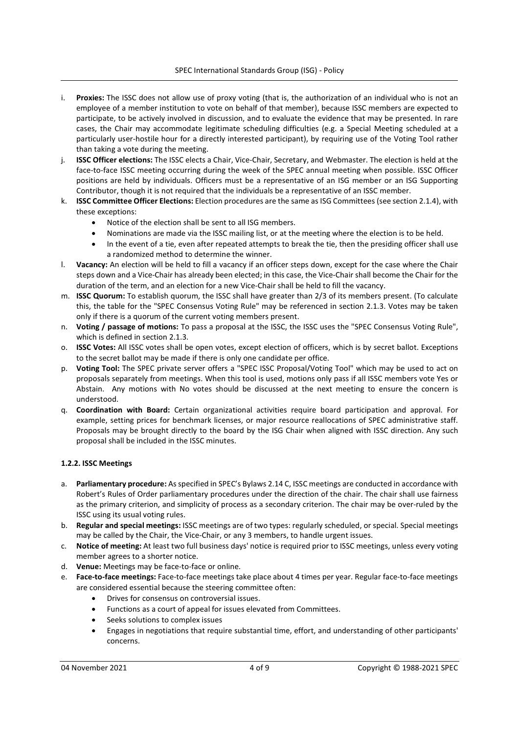- i. Proxies: The ISSC does not allow use of proxy voting (that is, the authorization of an individual who is not an employee of a member institution to vote on behalf of that member), because ISSC members are expected to participate, to be actively involved in discussion, and to evaluate the evidence that may be presented. In rare cases, the Chair may accommodate legitimate scheduling difficulties (e.g. a Special Meeting scheduled at a particularly user-hostile hour for a directly interested participant), by requiring use of the Voting Tool rather than taking a vote during the meeting.
- j. **ISSC Officer elections:** The ISSC elects a Chair, Vice-Chair, Secretary, and Webmaster. The election is held at the face-to-face ISSC meeting occurring during the week of the SPEC annual meeting when possible. ISSC Officer positions are held by individuals. Officers must be a representative of an ISG member or an ISG Supporting Contributor, though it is not required that the individuals be a representative of an ISSC member.
- k. ISSC Committee Officer Elections: Election procedures are the same as ISG Committees (see section 2.1.4), with these exceptions:
	- Notice of the election shall be sent to all ISG members.
	- Nominations are made via the ISSC mailing list, or at the meeting where the election is to be held.
	- In the event of a tie, even after repeated attempts to break the tie, then the presiding officer shall use a randomized method to determine the winner.
- l. Vacancy: An election will be held to fill a vacancy if an officer steps down, except for the case where the Chair steps down and a Vice-Chair has already been elected; in this case, the Vice-Chair shall become the Chair for the duration of the term, and an election for a new Vice-Chair shall be held to fill the vacancy.
- m. ISSC Quorum: To establish quorum, the ISSC shall have greater than 2/3 of its members present. (To calculate this, the table for the "SPEC Consensus Voting Rule" may be referenced in section 2.1.3. Votes may be taken only if there is a quorum of the current voting members present.
- n. Voting / passage of motions: To pass a proposal at the ISSC, the ISSC uses the "SPEC Consensus Voting Rule", which is defined in section 2.1.3.
- o. ISSC Votes: All ISSC votes shall be open votes, except election of officers, which is by secret ballot. Exceptions to the secret ballot may be made if there is only one candidate per office.
- p. Voting Tool: The SPEC private server offers a "SPEC ISSC Proposal/Voting Tool" which may be used to act on proposals separately from meetings. When this tool is used, motions only pass if all ISSC members vote Yes or Abstain. Any motions with No votes should be discussed at the next meeting to ensure the concern is understood.
- q. Coordination with Board: Certain organizational activities require board participation and approval. For example, setting prices for benchmark licenses, or major resource reallocations of SPEC administrative staff. Proposals may be brought directly to the board by the ISG Chair when aligned with ISSC direction. Any such proposal shall be included in the ISSC minutes.

#### 1.2.2. ISSC Meetings

- a. Parliamentary procedure: As specified in SPEC's Bylaws 2.14 C, ISSC meetings are conducted in accordance with Robert's Rules of Order parliamentary procedures under the direction of the chair. The chair shall use fairness as the primary criterion, and simplicity of process as a secondary criterion. The chair may be over-ruled by the ISSC using its usual voting rules.
- b. Regular and special meetings: ISSC meetings are of two types: regularly scheduled, or special. Special meetings may be called by the Chair, the Vice-Chair, or any 3 members, to handle urgent issues.
- c. Notice of meeting: At least two full business days' notice is required prior to ISSC meetings, unless every voting member agrees to a shorter notice.
- d. Venue: Meetings may be face-to-face or online.
- e. Face-to-face meetings: Face-to-face meetings take place about 4 times per year. Regular face-to-face meetings are considered essential because the steering committee often:
	- Drives for consensus on controversial issues.
	- Functions as a court of appeal for issues elevated from Committees.
	- Seeks solutions to complex issues
	- Engages in negotiations that require substantial time, effort, and understanding of other participants' concerns.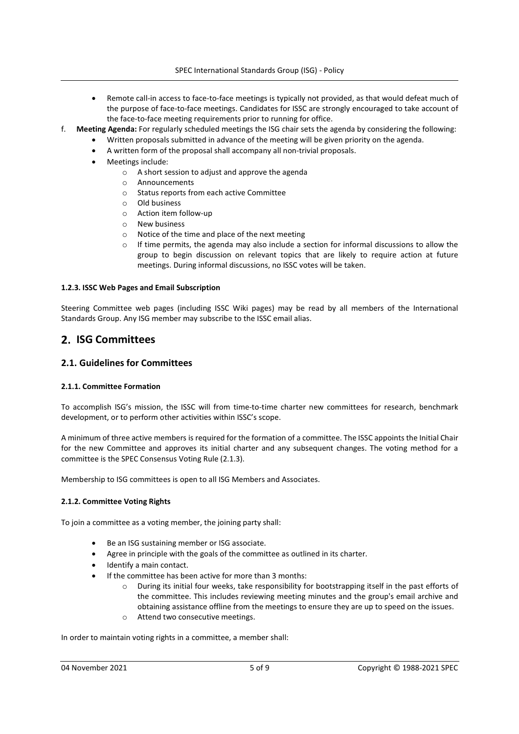- Remote call-in access to face-to-face meetings is typically not provided, as that would defeat much of the purpose of face-to-face meetings. Candidates for ISSC are strongly encouraged to take account of the face-to-face meeting requirements prior to running for office.
- f. Meeting Agenda: For regularly scheduled meetings the ISG chair sets the agenda by considering the following:
	- Written proposals submitted in advance of the meeting will be given priority on the agenda.
	- A written form of the proposal shall accompany all non-trivial proposals.
	- Meetings include:
		- o A short session to adjust and approve the agenda
		- o Announcements
		- o Status reports from each active Committee
		- o Old business
		- o Action item follow-up
		- o New business
		- o Notice of the time and place of the next meeting
		- $\circ$  If time permits, the agenda may also include a section for informal discussions to allow the group to begin discussion on relevant topics that are likely to require action at future meetings. During informal discussions, no ISSC votes will be taken.

#### 1.2.3. ISSC Web Pages and Email Subscription

Steering Committee web pages (including ISSC Wiki pages) may be read by all members of the International Standards Group. Any ISG member may subscribe to the ISSC email alias.

## 2. ISG Committees

#### 2.1. Guidelines for Committees

#### 2.1.1. Committee Formation

To accomplish ISG's mission, the ISSC will from time-to-time charter new committees for research, benchmark development, or to perform other activities within ISSC's scope.

A minimum of three active members is required for the formation of a committee. The ISSC appoints the Initial Chair for the new Committee and approves its initial charter and any subsequent changes. The voting method for a committee is the SPEC Consensus Voting Rule (2.1.3).

Membership to ISG committees is open to all ISG Members and Associates.

#### 2.1.2. Committee Voting Rights

To join a committee as a voting member, the joining party shall:

- Be an ISG sustaining member or ISG associate.
- Agree in principle with the goals of the committee as outlined in its charter.
- Identify a main contact.
- If the committee has been active for more than 3 months:
	- o During its initial four weeks, take responsibility for bootstrapping itself in the past efforts of the committee. This includes reviewing meeting minutes and the group's email archive and obtaining assistance offline from the meetings to ensure they are up to speed on the issues.
	- o Attend two consecutive meetings.

In order to maintain voting rights in a committee, a member shall: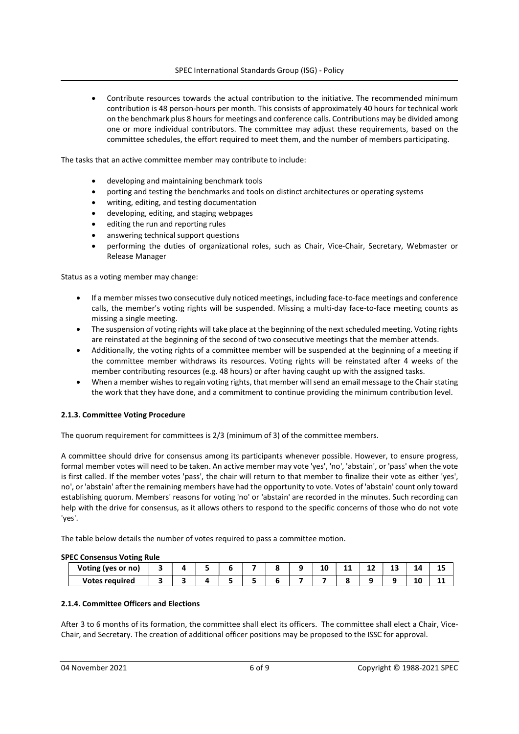Contribute resources towards the actual contribution to the initiative. The recommended minimum contribution is 48 person-hours per month. This consists of approximately 40 hours for technical work on the benchmark plus 8 hours for meetings and conference calls. Contributions may be divided among one or more individual contributors. The committee may adjust these requirements, based on the committee schedules, the effort required to meet them, and the number of members participating.

The tasks that an active committee member may contribute to include:

- developing and maintaining benchmark tools
- porting and testing the benchmarks and tools on distinct architectures or operating systems
- writing, editing, and testing documentation
- developing, editing, and staging webpages
- editing the run and reporting rules
- answering technical support questions
- performing the duties of organizational roles, such as Chair, Vice-Chair, Secretary, Webmaster or Release Manager

Status as a voting member may change:

- If a member misses two consecutive duly noticed meetings, including face-to-face meetings and conference calls, the member's voting rights will be suspended. Missing a multi-day face-to-face meeting counts as missing a single meeting.
- The suspension of voting rights will take place at the beginning of the next scheduled meeting. Voting rights are reinstated at the beginning of the second of two consecutive meetings that the member attends.
- Additionally, the voting rights of a committee member will be suspended at the beginning of a meeting if the committee member withdraws its resources. Voting rights will be reinstated after 4 weeks of the member contributing resources (e.g. 48 hours) or after having caught up with the assigned tasks.
- When a member wishes to regain voting rights, that member will send an email message to the Chair stating the work that they have done, and a commitment to continue providing the minimum contribution level.

#### 2.1.3. Committee Voting Procedure

The quorum requirement for committees is 2/3 (minimum of 3) of the committee members.

A committee should drive for consensus among its participants whenever possible. However, to ensure progress, formal member votes will need to be taken. An active member may vote 'yes', 'no', 'abstain', or 'pass' when the vote is first called. If the member votes 'pass', the chair will return to that member to finalize their vote as either 'yes', no', or 'abstain' after the remaining members have had the opportunity to vote. Votes of 'abstain' count only toward establishing quorum. Members' reasons for voting 'no' or 'abstain' are recorded in the minutes. Such recording can help with the drive for consensus, as it allows others to respond to the specific concerns of those who do not vote 'yes'.

The table below details the number of votes required to pass a committee motion.

#### SPEC Consensus Voting Rule

| Voting (yes or<br>nol |  |  |  | 10 | <b>A</b> 6<br>. .<br>-- | $\sim$<br>-- | 14      | -- |
|-----------------------|--|--|--|----|-------------------------|--------------|---------|----|
| <b>Votes required</b> |  |  |  |    | ີ                       |              | 16<br>∸ | -- |

#### 2.1.4. Committee Officers and Elections

After 3 to 6 months of its formation, the committee shall elect its officers. The committee shall elect a Chair, Vice-Chair, and Secretary. The creation of additional officer positions may be proposed to the ISSC for approval.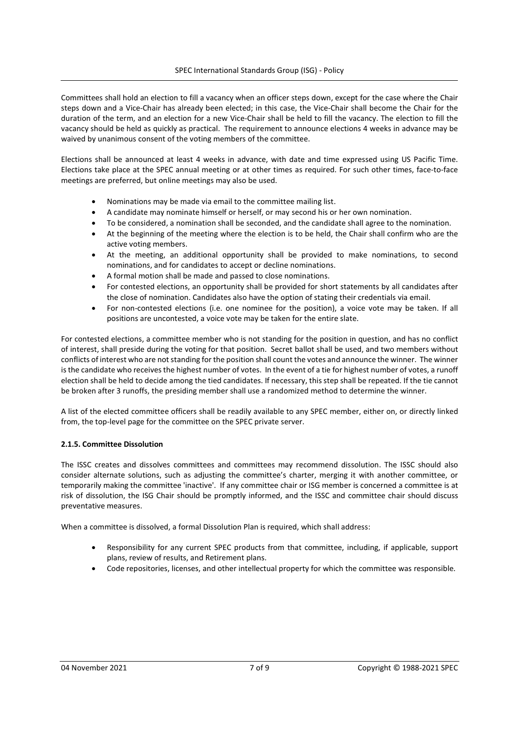Committees shall hold an election to fill a vacancy when an officer steps down, except for the case where the Chair steps down and a Vice-Chair has already been elected; in this case, the Vice-Chair shall become the Chair for the duration of the term, and an election for a new Vice-Chair shall be held to fill the vacancy. The election to fill the vacancy should be held as quickly as practical. The requirement to announce elections 4 weeks in advance may be waived by unanimous consent of the voting members of the committee.

Elections shall be announced at least 4 weeks in advance, with date and time expressed using US Pacific Time. Elections take place at the SPEC annual meeting or at other times as required. For such other times, face-to-face meetings are preferred, but online meetings may also be used.

- Nominations may be made via email to the committee mailing list.
- A candidate may nominate himself or herself, or may second his or her own nomination.
- To be considered, a nomination shall be seconded, and the candidate shall agree to the nomination.
- At the beginning of the meeting where the election is to be held, the Chair shall confirm who are the active voting members.
- At the meeting, an additional opportunity shall be provided to make nominations, to second nominations, and for candidates to accept or decline nominations.
- A formal motion shall be made and passed to close nominations.
- For contested elections, an opportunity shall be provided for short statements by all candidates after the close of nomination. Candidates also have the option of stating their credentials via email.
- For non-contested elections (i.e. one nominee for the position), a voice vote may be taken. If all positions are uncontested, a voice vote may be taken for the entire slate.

For contested elections, a committee member who is not standing for the position in question, and has no conflict of interest, shall preside during the voting for that position. Secret ballot shall be used, and two members without conflicts of interest who are not standing for the position shall count the votes and announce the winner. The winner is the candidate who receives the highest number of votes. In the event of a tie for highest number of votes, a runoff election shall be held to decide among the tied candidates. If necessary, this step shall be repeated. If the tie cannot be broken after 3 runoffs, the presiding member shall use a randomized method to determine the winner.

A list of the elected committee officers shall be readily available to any SPEC member, either on, or directly linked from, the top-level page for the committee on the SPEC private server.

#### 2.1.5. Committee Dissolution

The ISSC creates and dissolves committees and committees may recommend dissolution. The ISSC should also consider alternate solutions, such as adjusting the committee's charter, merging it with another committee, or temporarily making the committee 'inactive'. If any committee chair or ISG member is concerned a committee is at risk of dissolution, the ISG Chair should be promptly informed, and the ISSC and committee chair should discuss preventative measures.

When a committee is dissolved, a formal Dissolution Plan is required, which shall address:

- Responsibility for any current SPEC products from that committee, including, if applicable, support plans, review of results, and Retirement plans.
- Code repositories, licenses, and other intellectual property for which the committee was responsible.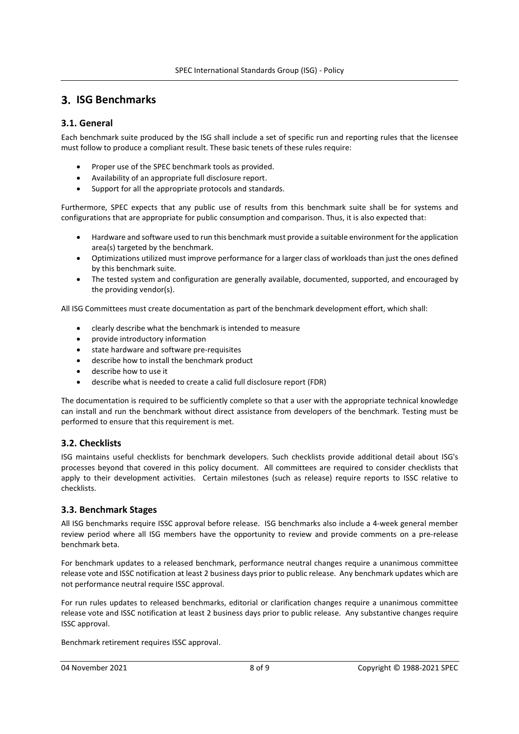## **3. ISG Benchmarks**

#### 3.1. General

Each benchmark suite produced by the ISG shall include a set of specific run and reporting rules that the licensee must follow to produce a compliant result. These basic tenets of these rules require:

- Proper use of the SPEC benchmark tools as provided.
- Availability of an appropriate full disclosure report.
- Support for all the appropriate protocols and standards.

Furthermore, SPEC expects that any public use of results from this benchmark suite shall be for systems and configurations that are appropriate for public consumption and comparison. Thus, it is also expected that:

- Hardware and software used to run this benchmark must provide a suitable environment for the application area(s) targeted by the benchmark.
- Optimizations utilized must improve performance for a larger class of workloads than just the ones defined by this benchmark suite.
- The tested system and configuration are generally available, documented, supported, and encouraged by the providing vendor(s).

All ISG Committees must create documentation as part of the benchmark development effort, which shall:

- clearly describe what the benchmark is intended to measure
- provide introductory information
- state hardware and software pre-requisites
- describe how to install the benchmark product
- describe how to use it
- describe what is needed to create a calid full disclosure report (FDR)

The documentation is required to be sufficiently complete so that a user with the appropriate technical knowledge can install and run the benchmark without direct assistance from developers of the benchmark. Testing must be performed to ensure that this requirement is met.

#### 3.2. Checklists

ISG maintains useful checklists for benchmark developers. Such checklists provide additional detail about ISG's processes beyond that covered in this policy document. All committees are required to consider checklists that apply to their development activities. Certain milestones (such as release) require reports to ISSC relative to checklists.

#### 3.3. Benchmark Stages

All ISG benchmarks require ISSC approval before release. ISG benchmarks also include a 4-week general member review period where all ISG members have the opportunity to review and provide comments on a pre-release benchmark beta.

For benchmark updates to a released benchmark, performance neutral changes require a unanimous committee release vote and ISSC notification at least 2 business days prior to public release. Any benchmark updates which are not performance neutral require ISSC approval.

For run rules updates to released benchmarks, editorial or clarification changes require a unanimous committee release vote and ISSC notification at least 2 business days prior to public release. Any substantive changes require ISSC approval.

Benchmark retirement requires ISSC approval.